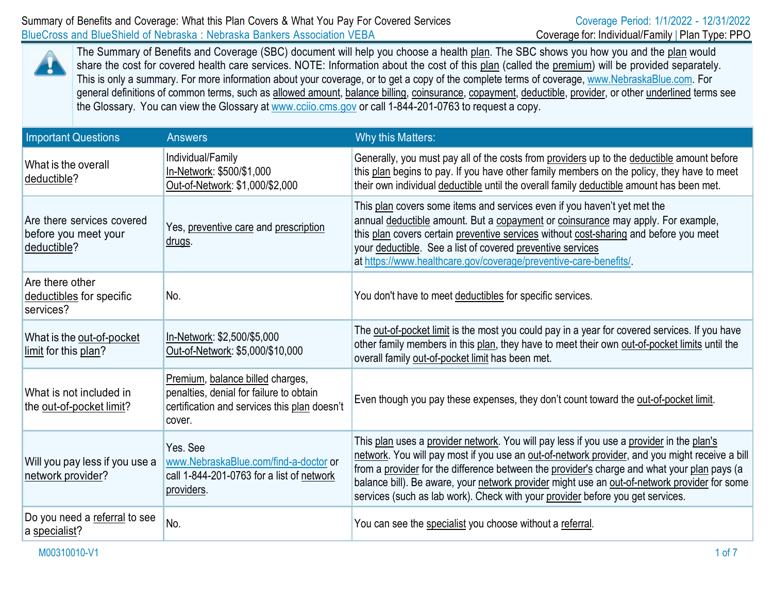

The Summary of Benefits and Coverage (SBC) document will help you choose a health plan. The SBC shows you how you and the plan would share the cost for covered health care services. NOTE: Information about the cost of this plan (called the premium) will be provided separately. This is only a summary. For more information about your coverage, or to get a copy of the complete terms of coverage, [www.NebraskaBlue.com.](http://www.nebraskablue.com/) For general definitions of common terms, such as allowed amount, balance billing, coinsurance, copayment, deductible, provider, or other underlined terms see the Glossary. You can view the Glossary at [www.cciio.cms.gov](http://www.cciio.cms.gov/) or call 1-844-201-0763 to request a copy.

| <b>Important Questions</b>                                        | <b>Answers</b>                                                                                                                        | Why this Matters:                                                                                                                                                                                                                                                                                                                                                                                                                                                           |
|-------------------------------------------------------------------|---------------------------------------------------------------------------------------------------------------------------------------|-----------------------------------------------------------------------------------------------------------------------------------------------------------------------------------------------------------------------------------------------------------------------------------------------------------------------------------------------------------------------------------------------------------------------------------------------------------------------------|
| What is the overall<br>deductible?                                | Individual/Family<br>In-Network: \$500/\$1,000<br>Out-of-Network: \$1,000/\$2,000                                                     | Generally, you must pay all of the costs from providers up to the deductible amount before<br>this plan begins to pay. If you have other family members on the policy, they have to meet<br>their own individual deductible until the overall family deductible amount has been met.                                                                                                                                                                                        |
| Are there services covered<br>before you meet your<br>deductible? | Yes, preventive care and prescription<br><u>drugs</u> .                                                                               | This plan covers some items and services even if you haven't yet met the<br>annual deductible amount. But a copayment or coinsurance may apply. For example,<br>this plan covers certain preventive services without cost-sharing and before you meet<br>your deductible. See a list of covered preventive services<br>at https://www.healthcare.gov/coverage/preventive-care-benefits/.                                                                                    |
| Are there other<br>deductibles for specific<br>services?          | No.                                                                                                                                   | You don't have to meet deductibles for specific services.                                                                                                                                                                                                                                                                                                                                                                                                                   |
| What is the out-of-pocket<br>limit for this plan?                 | In-Network: \$2,500/\$5,000<br>Out-of-Network: \$5,000/\$10,000                                                                       | The out-of-pocket limit is the most you could pay in a year for covered services. If you have<br>other family members in this plan, they have to meet their own out-of-pocket limits until the<br>overall family out-of-pocket limit has been met.                                                                                                                                                                                                                          |
| What is not included in<br>the out-of-pocket limit?               | Premium, balance billed charges,<br>penalties, denial for failure to obtain<br>certification and services this plan doesn't<br>cover. | Even though you pay these expenses, they don't count toward the out-of-pocket limit.                                                                                                                                                                                                                                                                                                                                                                                        |
| Will you pay less if you use a<br>network provider?               | Yes, See<br>www.NebraskaBlue.com/find-a-doctor or<br>call 1-844-201-0763 for a list of network<br>providers.                          | This plan uses a provider network. You will pay less if you use a provider in the plan's<br>network. You will pay most if you use an out-of-network provider, and you might receive a bill<br>from a provider for the difference between the provider's charge and what your plan pays (a<br>balance bill). Be aware, your network provider might use an out-of-network provider for some<br>services (such as lab work). Check with your provider before you get services. |
| Do you need a referral to see<br>a specialist?                    | No.                                                                                                                                   | You can see the specialist you choose without a referral.                                                                                                                                                                                                                                                                                                                                                                                                                   |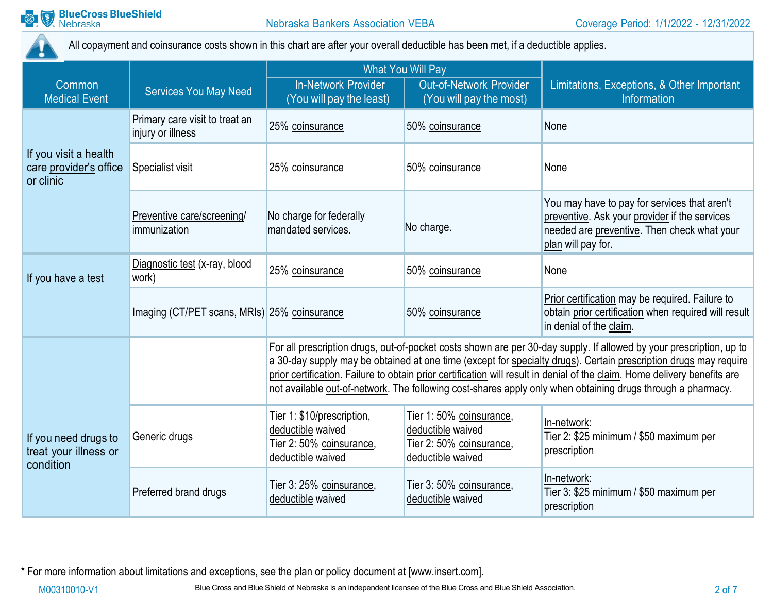

All copayment and coinsurance costs shown in this chart are after your overall deductible has been met, if a deductible applies.

|                                                              |                                                     | <b>What You Will Pay</b>                                                                                                                                                                                                                                                                                                                                                                                                                                                            |                                                                                               |                                                                                                                                                                    |
|--------------------------------------------------------------|-----------------------------------------------------|-------------------------------------------------------------------------------------------------------------------------------------------------------------------------------------------------------------------------------------------------------------------------------------------------------------------------------------------------------------------------------------------------------------------------------------------------------------------------------------|-----------------------------------------------------------------------------------------------|--------------------------------------------------------------------------------------------------------------------------------------------------------------------|
| <b>Common</b><br><b>Medical Event</b>                        | <b>Services You May Need</b>                        | <b>In-Network Provider</b><br>(You will pay the least)                                                                                                                                                                                                                                                                                                                                                                                                                              | Out-of-Network Provider<br>(You will pay the most)                                            | Limitations, Exceptions, & Other Important<br>Information                                                                                                          |
|                                                              | Primary care visit to treat an<br>injury or illness | 25% coinsurance                                                                                                                                                                                                                                                                                                                                                                                                                                                                     | 50% coinsurance                                                                               | None                                                                                                                                                               |
| If you visit a health<br>care provider's office<br>or clinic | <b>Specialist visit</b>                             | 25% coinsurance                                                                                                                                                                                                                                                                                                                                                                                                                                                                     | 50% coinsurance                                                                               | None                                                                                                                                                               |
|                                                              | Preventive care/screening/<br>immunization          | No charge for federally<br>mandated services.                                                                                                                                                                                                                                                                                                                                                                                                                                       | No charge.                                                                                    | You may have to pay for services that aren't<br>preventive. Ask your provider if the services<br>needed are preventive. Then check what your<br>plan will pay for. |
| If you have a test                                           | Diagnostic test (x-ray, blood<br>work)              | 25% coinsurance                                                                                                                                                                                                                                                                                                                                                                                                                                                                     | 50% coinsurance                                                                               | None                                                                                                                                                               |
|                                                              | Imaging (CT/PET scans, MRIs) 25% coinsurance        |                                                                                                                                                                                                                                                                                                                                                                                                                                                                                     | 50% coinsurance                                                                               | Prior certification may be required. Failure to<br>obtain prior certification when required will result<br>in denial of the claim.                                 |
|                                                              |                                                     | For all prescription drugs, out-of-pocket costs shown are per 30-day supply. If allowed by your prescription, up to<br>a 30-day supply may be obtained at one time (except for specialty drugs). Certain prescription drugs may require<br>prior certification. Failure to obtain prior certification will result in denial of the claim. Home delivery benefits are<br>not available out-of-network. The following cost-shares apply only when obtaining drugs through a pharmacy. |                                                                                               |                                                                                                                                                                    |
| If you need drugs to<br>treat your illness or<br>condition   | Generic drugs                                       | Tier 1: \$10/prescription,<br>deductible waived<br>Tier 2: 50% coinsurance,<br>deductible waived                                                                                                                                                                                                                                                                                                                                                                                    | Tier 1:50% coinsurance,<br>deductible waived<br>Tier 2: 50% coinsurance,<br>deductible waived | In-network:<br>Tier 2: \$25 minimum / \$50 maximum per<br>prescription                                                                                             |
|                                                              | Preferred brand drugs                               | Tier 3: 25% coinsurance,<br>deductible waived                                                                                                                                                                                                                                                                                                                                                                                                                                       | Tier 3: 50% coinsurance,<br>deductible waived                                                 | In-network:<br>Tier 3: \$25 minimum / \$50 maximum per<br>prescription                                                                                             |

\* For more information about limitations and exceptions, see the plan or policy document at [\[www.insert.com\]](http://www.insert.com/).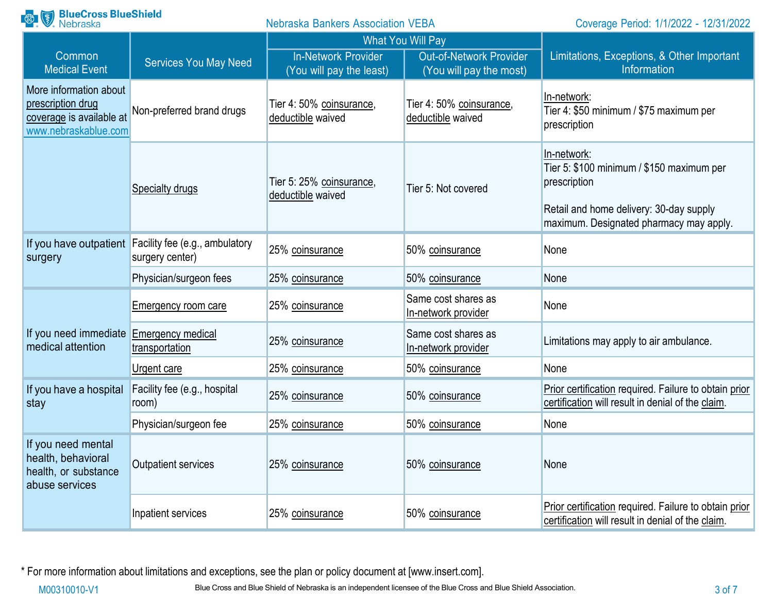| <b>Range BlueCross BlueShield</b><br><b>Nebraska Bankers Association VEBA</b>                   |                                                                          | Coverage Period: 1/1/2022 - 12/31/2022                 |                                                           |                                                                                                                                                                |
|-------------------------------------------------------------------------------------------------|--------------------------------------------------------------------------|--------------------------------------------------------|-----------------------------------------------------------|----------------------------------------------------------------------------------------------------------------------------------------------------------------|
|                                                                                                 |                                                                          |                                                        | <b>What You Will Pay</b>                                  |                                                                                                                                                                |
| Common<br><b>Medical Event</b>                                                                  | <b>Services You May Need</b>                                             | <b>In-Network Provider</b><br>(You will pay the least) | <b>Out-of-Network Provider</b><br>(You will pay the most) | Limitations, Exceptions, & Other Important<br>Information                                                                                                      |
| More information about<br>prescription drug<br>coverage is available at<br>www.nebraskablue.com | Non-preferred brand drugs                                                | Tier 4: 50% coinsurance,<br>deductible waived          | Tier 4: 50% coinsurance,<br>deductible waived             | In-network:<br>Tier 4: \$50 minimum / \$75 maximum per<br>prescription                                                                                         |
|                                                                                                 | Specialty drugs                                                          | Tier 5: 25% coinsurance,<br>deductible waived          | Tier 5: Not covered                                       | In-network:<br>Tier 5: \$100 minimum / \$150 maximum per<br>prescription<br>Retail and home delivery: 30-day supply<br>maximum. Designated pharmacy may apply. |
| surgery                                                                                         | If you have outpatient Facility fee (e.g., ambulatory<br>surgery center) | 25% coinsurance                                        | 50% coinsurance                                           | None                                                                                                                                                           |
|                                                                                                 | Physician/surgeon fees                                                   | 25% coinsurance                                        | 50% coinsurance                                           | None                                                                                                                                                           |
|                                                                                                 | <b>Emergency room care</b>                                               | 25% coinsurance                                        | Same cost shares as<br>In-network provider                | None                                                                                                                                                           |
| If you need immediate<br>medical attention                                                      | Emergency medical<br>transportation                                      | 25% coinsurance                                        | Same cost shares as<br>In-network provider                | Limitations may apply to air ambulance.                                                                                                                        |
|                                                                                                 | <u>Urgent care</u>                                                       | 25% coinsurance                                        | 50% coinsurance                                           | None                                                                                                                                                           |
| If you have a hospital<br>stay                                                                  | Facility fee (e.g., hospital<br>room)                                    | 25% coinsurance                                        | 50% coinsurance                                           | Prior certification required. Failure to obtain prior<br>certification will result in denial of the claim.                                                     |
|                                                                                                 | Physician/surgeon fee                                                    | 25% coinsurance                                        | 50% coinsurance                                           | None                                                                                                                                                           |
| If you need mental<br>health, behavioral<br>health, or substance<br>abuse services              | Outpatient services                                                      | 25% coinsurance                                        | 50% coinsurance                                           | None                                                                                                                                                           |
|                                                                                                 | Inpatient services                                                       | 25% coinsurance                                        | 50% coinsurance                                           | Prior certification required. Failure to obtain prior<br>certification will result in denial of the claim.                                                     |

\* For more information about limitations and exceptions, see the plan or policy document at [\[www.insert.com\]](http://www.insert.com/).

M00310010-V1 Blue Cross and Blue Shield of Nebraska is an independent licensee of the Blue Cross and Blue Shield Association.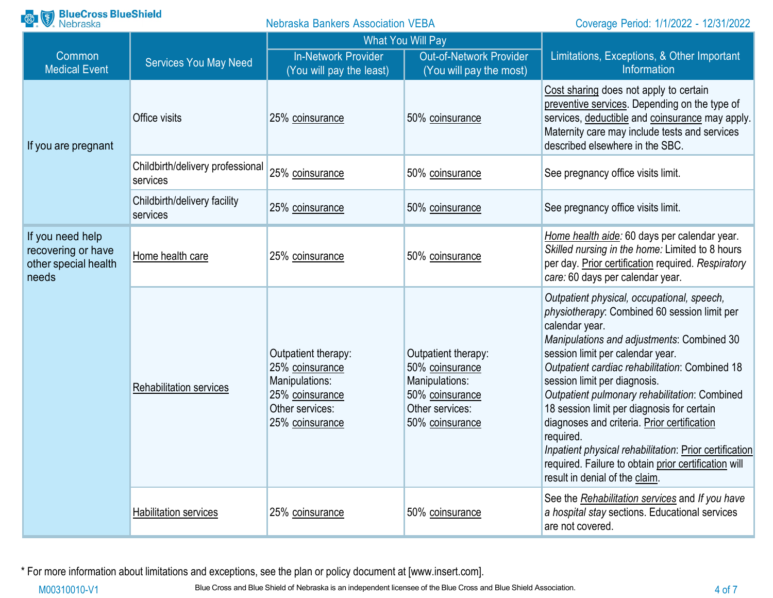| <b>BlueCross BlueShield</b><br>Nebraska<br>$\left(\frac{8}{3}\right)$   |                                              | <b>Nebraska Bankers Association VEBA</b>                                                                          |                                                                                                                   | Coverage Period: 1/1/2022 - 12/31/2022                                                                                                                                                                                                                                                                                                                                                                                                                                                                                                                                                          |
|-------------------------------------------------------------------------|----------------------------------------------|-------------------------------------------------------------------------------------------------------------------|-------------------------------------------------------------------------------------------------------------------|-------------------------------------------------------------------------------------------------------------------------------------------------------------------------------------------------------------------------------------------------------------------------------------------------------------------------------------------------------------------------------------------------------------------------------------------------------------------------------------------------------------------------------------------------------------------------------------------------|
|                                                                         |                                              | <b>What You Will Pay</b>                                                                                          |                                                                                                                   |                                                                                                                                                                                                                                                                                                                                                                                                                                                                                                                                                                                                 |
| Common<br><b>Medical Event</b>                                          | <b>Services You May Need</b>                 | <b>In-Network Provider</b><br>(You will pay the least)                                                            | <b>Out-of-Network Provider</b><br>(You will pay the most)                                                         | Limitations, Exceptions, & Other Important<br>Information                                                                                                                                                                                                                                                                                                                                                                                                                                                                                                                                       |
| If you are pregnant                                                     | Office visits                                | 25% coinsurance                                                                                                   | 50% coinsurance                                                                                                   | Cost sharing does not apply to certain<br>preventive services. Depending on the type of<br>services, deductible and coinsurance may apply.<br>Maternity care may include tests and services<br>described elsewhere in the SBC.                                                                                                                                                                                                                                                                                                                                                                  |
|                                                                         | Childbirth/delivery professional<br>services | 25% coinsurance                                                                                                   | 50% coinsurance                                                                                                   | See pregnancy office visits limit.                                                                                                                                                                                                                                                                                                                                                                                                                                                                                                                                                              |
|                                                                         | Childbirth/delivery facility<br>services     | 25% coinsurance                                                                                                   | 50% coinsurance                                                                                                   | See pregnancy office visits limit.                                                                                                                                                                                                                                                                                                                                                                                                                                                                                                                                                              |
| If you need help<br>recovering or have<br>other special health<br>needs | Home health care                             | 25% coinsurance                                                                                                   | 50% coinsurance                                                                                                   | Home health aide: 60 days per calendar year.<br>Skilled nursing in the home: Limited to 8 hours<br>per day. Prior certification required. Respiratory<br>care: 60 days per calendar year.                                                                                                                                                                                                                                                                                                                                                                                                       |
|                                                                         | <b>Rehabilitation services</b>               | Outpatient therapy:<br>25% coinsurance<br>Manipulations:<br>25% coinsurance<br>Other services:<br>25% coinsurance | Outpatient therapy:<br>50% coinsurance<br>Manipulations:<br>50% coinsurance<br>Other services:<br>50% coinsurance | Outpatient physical, occupational, speech,<br>physiotherapy: Combined 60 session limit per<br>calendar year.<br>Manipulations and adjustments: Combined 30<br>session limit per calendar year.<br>Outpatient cardiac rehabilitation: Combined 18<br>session limit per diagnosis.<br>Outpatient pulmonary rehabilitation: Combined<br>18 session limit per diagnosis for certain<br>diagnoses and criteria. Prior certification<br>required.<br>Inpatient physical rehabilitation: Prior certification<br>required. Failure to obtain prior certification will<br>result in denial of the claim. |
|                                                                         | <b>Habilitation services</b>                 | 25% coinsurance                                                                                                   | 50% coinsurance                                                                                                   | See the Rehabilitation services and If you have<br>a hospital stay sections. Educational services<br>are not covered.                                                                                                                                                                                                                                                                                                                                                                                                                                                                           |

\* For more information about limitations and exceptions, see the plan or policy document at [\[www.insert.com\]](http://www.insert.com/).

M00310010-V1 Blue Cross and Blue Shield of Nebraska is an independent licensee of the Blue Cross and Blue Shield Association. 4 of 7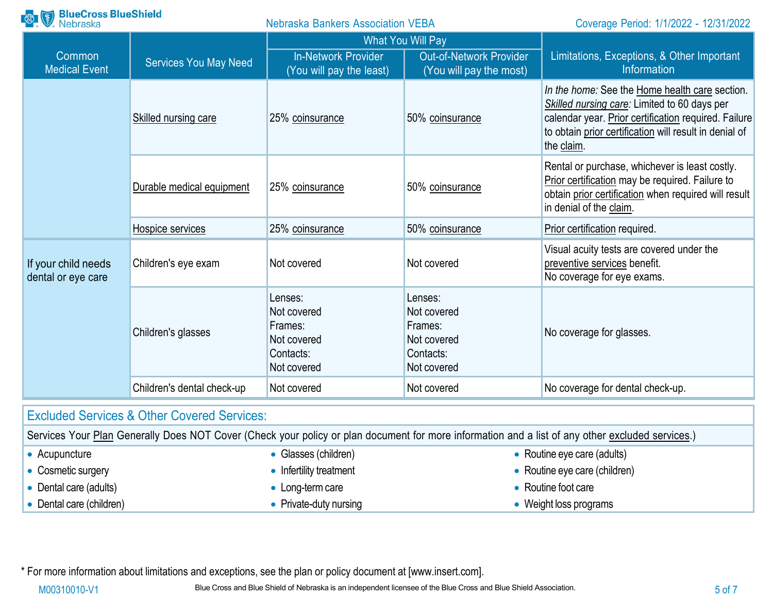| <b>BlueCross BlueShield</b><br>Nebraska   |                                                        | <b>Nebraska Bankers Association VEBA</b>                                     |                                                                              | Coverage Period: 1/1/2022 - 12/31/2022                                                                                                                                                                                         |
|-------------------------------------------|--------------------------------------------------------|------------------------------------------------------------------------------|------------------------------------------------------------------------------|--------------------------------------------------------------------------------------------------------------------------------------------------------------------------------------------------------------------------------|
|                                           |                                                        | <b>What You Will Pay</b>                                                     |                                                                              |                                                                                                                                                                                                                                |
| Common<br><b>Medical Event</b>            | <b>Services You May Need</b>                           | <b>In-Network Provider</b><br>(You will pay the least)                       | <b>Out-of-Network Provider</b><br>(You will pay the most)                    | Limitations, Exceptions, & Other Important<br>Information                                                                                                                                                                      |
|                                           | Skilled nursing care                                   | 25% coinsurance                                                              | 50% coinsurance                                                              | In the home: See the Home health care section.<br>Skilled nursing care: Limited to 60 days per<br>calendar year. Prior certification required. Failure<br>to obtain prior certification will result in denial of<br>the claim. |
|                                           | Durable medical equipment                              | 25% coinsurance                                                              | 50% coinsurance                                                              | Rental or purchase, whichever is least costly.<br>Prior certification may be required. Failure to<br>obtain prior certification when required will result<br>in denial of the claim.                                           |
|                                           | Hospice services                                       | 25% coinsurance                                                              | 50% coinsurance                                                              | Prior certification required.                                                                                                                                                                                                  |
| If your child needs<br>dental or eye care | Children's eye exam                                    | Not covered                                                                  | Not covered                                                                  | Visual acuity tests are covered under the<br>preventive services benefit.<br>No coverage for eye exams.                                                                                                                        |
|                                           | Children's glasses                                     | Lenses:<br>Not covered<br>Frames:<br>Not covered<br>Contacts:<br>Not covered | Lenses:<br>Not covered<br>Frames:<br>Not covered<br>Contacts:<br>Not covered | No coverage for glasses.                                                                                                                                                                                                       |
|                                           | Children's dental check-up                             | Not covered                                                                  | Not covered                                                                  | No coverage for dental check-up.                                                                                                                                                                                               |
|                                           | <b>Excluded Services &amp; Other Covered Services:</b> |                                                                              |                                                                              |                                                                                                                                                                                                                                |
|                                           |                                                        |                                                                              |                                                                              | Carvices Your Plan Generally Does NOT Cover (Check your policy or plan document for more information and a list of any other excluded services)                                                                                |

|                        |                          | OCHINGS TUDI FIAH OCHCHAIN DUCS NOT CUVCH (CHCCK YOUL DUICY OF DIAH QUULICHE IOF HIUHAINIH AND A IISE OF ANY ONCE CAUDUCU SCHVICCS.) |
|------------------------|--------------------------|--------------------------------------------------------------------------------------------------------------------------------------|
| Acupuncture            | • Glasses (children)     | • Routine eye care (adults)                                                                                                          |
| Cosmetic surgery       | • Infertility treatment  | • Routine eye care (children)                                                                                                        |
| Dental care (adults)   | $\bullet$ Long-term care | • Routine foot care                                                                                                                  |
| Dental care (children) | • Private-duty nursing   | <b>Weight loss programs</b>                                                                                                          |

\* For more information about limitations and exceptions, see the plan or policy document at [\[www.insert.com\]](http://www.insert.com/).

M00310010-V1 Blue Cross and Blue Shield of Nebraska is an independent licensee of the Blue Cross and Blue Shield Association.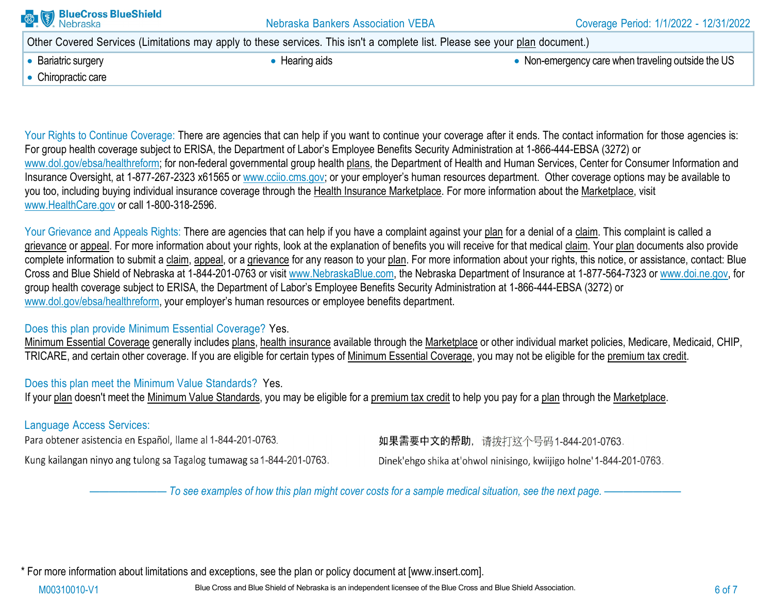| <b>BlueCross BlueShield</b><br>Nebraska | <b>Nebraska Bankers Association VEBA</b>                                                                                     | Coverage Period: 1/1/2022 - 12/31/2022             |
|-----------------------------------------|------------------------------------------------------------------------------------------------------------------------------|----------------------------------------------------|
|                                         | Other Covered Services (Limitations may apply to these services. This isn't a complete list. Please see your plan document.) |                                                    |
| • Bariatric surgery                     | • Hearing aids                                                                                                               | • Non-emergency care when traveling outside the US |
| • Chiropractic care                     |                                                                                                                              |                                                    |
|                                         |                                                                                                                              |                                                    |

Your Rights to Continue Coverage: There are agencies that can help if you want to continue your coverage after it ends. The contact information for those agencies is: For group health coverage subject to ERISA, the Department of Labor's Employee Benefits Security Administration at 1-866-444-EBSA (3272) or [www.dol.gov/ebsa/healthreform; f](http://www.dol.gov/ebsa/healthreform%3B)or non-federal governmental group health plans, the Department of Health and Human Services, Center for Consumer Information and Insurance Oversight, at 1-877-267-2323 x61565 or www.cciio.cms.gov; or your employer's human resources department. Other coverage options may be available to you too, including buying individual insurance coverage through the Health Insurance Marketplace. For more information about the Marketplace, visit [www.HealthCare.gov](http://www.healthcare.gov/) or call 1-800-318-2596.

Your Grievance and Appeals Rights: There are agencies that can help if you have a complaint against your plan for a denial of a claim. This complaint is called a grievance or appeal. For more information about your rights, look at the explanation of benefits you will receive for that medical claim. Your plan documents also provide complete information to submit a claim, appeal, or a grievance for any reason to your plan. For more information about your rights, this notice, or assistance, contact: Blue Cross and Blue Shield of Nebraska at 1-844-201-0763 or visit [www.NebraskaBlue.com, t](http://www.nebraskablue.com/)he Nebraska Department of Insurance at 1-877-564-7323 or [www.doi.ne.gov, f](http://www.doi.ne.gov/)or group health coverage subject to ERISA, the Department of Labor's Employee Benefits Security Administration at 1-866-444-EBSA (3272) or [www.dol.gov/ebsa/healthreform,](http://www.dol.gov/ebsa/healthreform) your employer's human resources or employee benefits department.

#### Does this plan provide Minimum Essential Coverage? Yes.

Minimum Essential Coverage generally includes plans, health insurance available through the Marketplace or other individual market policies, Medicare, Medicaid, CHIP, TRICARE, and certain other coverage. If you are eligible for certain types of Minimum Essential Coverage, you may not be eligible for the premium tax credit.

# Does this plan meet the Minimum Value Standards? Yes.

If your plan doesn't meet the Minimum Value Standards, you may be eligible for a premium tax credit to help you pay for a plan through the Marketplace.

# Language Access Services:

Para obtener asistencia en Español, llame al 1-844-201-0763.

Kung kailangan ninyo ang tulong sa Tagalog tumawag sa 1-844-201-0763.

如果需要中文的帮助, 请拨打这个号码1-844-201-0763.

Dinek'ehgo shika at'ohwol ninisingo, kwiijigo holne' 1-844-201-0763.

- To see examples of how this plan might cover costs for a sample medical situation, see the next page. -----

\* For more information about limitations and exceptions, see the plan or policy document at [\[www.insert.com\]](http://www.insert.com/).

M00310010-V1 Blue Cross and Blue Shield of Nebraska is an independent licensee of the Blue Cross and Blue Shield Association.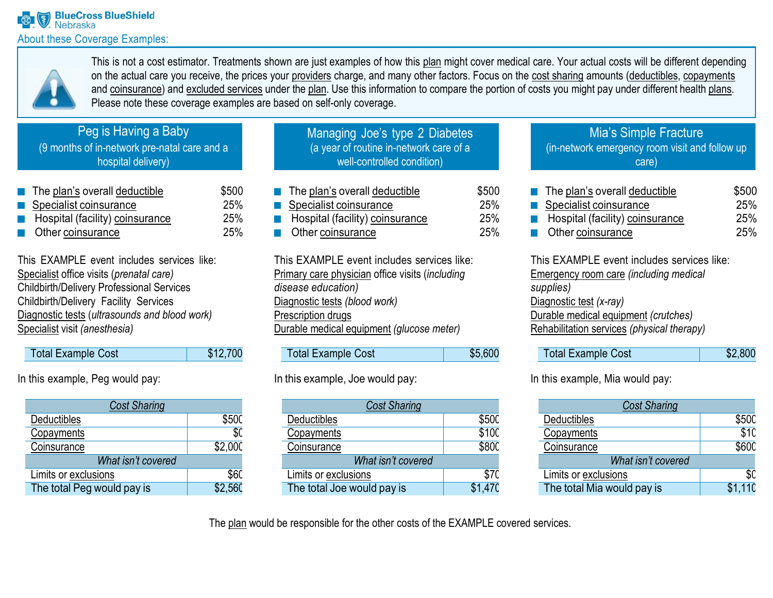

This is not a cost estimator. Treatments shown are just examples of how this plan might cover medical care. Your actual costs will be different depending on the actual care you receive, the prices your providers charge, and many other factors. Focus on the cost sharing amounts (deductibles, copayments and coinsurance) and excluded services under the plan. Use this information to compare the portion of costs you might pay under different health plans. Please note these coverage examples are based on self-only coverage.

# Peg is Having a Baby

(9 months of in-network pre-natal care and a hospital delivery)

The plan's overall deductible  $$500$ Specialist coinsurance 25% Hospital (facility) coinsurance 25% Other coinsurance 25%

This EXAMPLE event includes services like: Specialist office visits (*prenatal care)* Childbirth/Delivery Professional Services Childbirth/Delivery Facility Services Diagnostic tests (*ultrasounds and blood work)* Specialist visit *(anesthesia)*

| Total Example Cost | \$12,700 |
|--------------------|----------|
|--------------------|----------|

In this example, Peg would pay:

| <b>Cost Sharing</b>        |             |  |
|----------------------------|-------------|--|
| Deductibles                | \$50C       |  |
| Copayments                 | \$0         |  |
| Coinsurance                | \$2,000     |  |
| What isn't covered         |             |  |
| Limits or exclusions       | <b>\$60</b> |  |
| The total Peg would pay is | \$2,560     |  |

| Managing Joe's type 2 Diabetes          |
|-----------------------------------------|
| (a year of routine in-network care of a |
| well-controlled condition)              |
|                                         |

| $\blacksquare$ The plan's overall deductible | \$500 |
|----------------------------------------------|-------|
| Specialist coinsurance                       | 25%   |
| Hospital (facility) coinsurance              | 25%   |
| <b>Other coinsurance</b>                     | 25%   |

This EXAMPLE event includes services like: Primary care physician office visits (*including disease education)* Diagnostic tests *(blood work)* Prescription drugs Durable medical equipment *(glucose meter)*

| <b>Total Example Cost</b> | \$5,600 |
|---------------------------|---------|

## In this example, Joe would pay:

| <b>Cost Sharing</b>        |         |  |  |
|----------------------------|---------|--|--|
| Deductibles                | \$500   |  |  |
| Copayments                 | \$100   |  |  |
| Coinsurance                | \$800   |  |  |
| What isn't covered         |         |  |  |
| Limits or exclusions       | \$70    |  |  |
| The total Joe would pay is | \$1.470 |  |  |

### Mia's Simple Fracture (in-network emergency room visit and follow up care)

| $\blacksquare$ The plan's overall deductible                  | \$500      |
|---------------------------------------------------------------|------------|
| Specialist coinsurance                                        | 25%        |
| Hospital (facility) coinsurance<br>$\mathcal{L}^{\text{max}}$ | 25%        |
| $\blacksquare$ Other coinsurance                              | <b>25%</b> |

This EXAMPLE event includes services like: Emergency room care *(including medical supplies)* Diagnostic test *(x-ray)* Durable medical equipment *(crutches)* Rehabilitation services *(physical therapy)*

| <b>Total Example Cost</b> | \$2,800 |
|---------------------------|---------|
|                           |         |

In this example, Mia would pay:

| <b>Cost Sharing</b>        |         |
|----------------------------|---------|
| Deductibles                | \$500   |
| Copayments                 | \$10    |
| Coinsurance                | \$600   |
| What isn't covered         |         |
| Limits or exclusions       | \$0     |
| The total Mia would pay is | \$1.11C |

The plan would be responsible for the other costs of the EXAMPLE covered services.